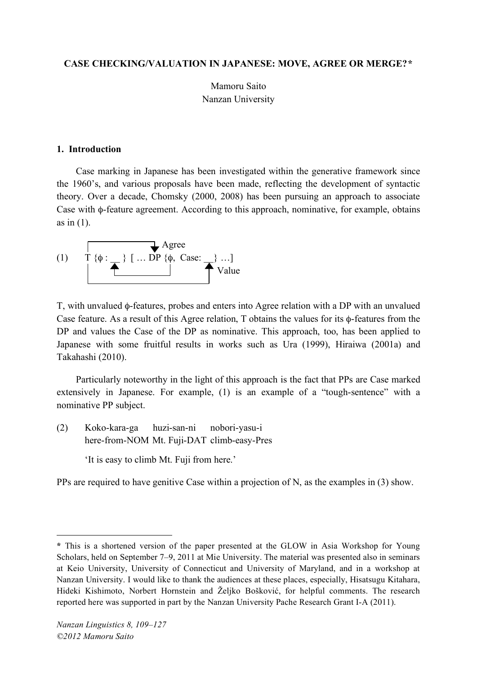#### **CASE CHECKING/VALUATION IN JAPANESE: MOVE, AGREE OR MERGE?\***

Mamoru Saito Nanzan University

#### **1. Introduction**

Case marking in Japanese has been investigated within the generative framework since the 1960's, and various proposals have been made, reflecting the development of syntactic theory. Over a decade, Chomsky (2000, 2008) has been pursuing an approach to associate Case with φ-feature agreement. According to this approach, nominative, for example, obtains as in  $(1)$ .

Agree (1) T {φ : \_\_ } [ … DP {φ, Case: \_\_} …] Value

T, with unvalued φ-features, probes and enters into Agree relation with a DP with an unvalued Case feature. As a result of this Agree relation, T obtains the values for its φ-features from the DP and values the Case of the DP as nominative. This approach, too, has been applied to Japanese with some fruitful results in works such as Ura (1999), Hiraiwa (2001a) and Takahashi (2010).

Particularly noteworthy in the light of this approach is the fact that PPs are Case marked extensively in Japanese. For example, (1) is an example of a "tough-sentence" with a nominative PP subject.

- (2) Koko-kara-ga huzi-san-ni nobori-yasu-i here-from-NOM Mt. Fuji-DAT climb-easy-Pres
	- 'It is easy to climb Mt. Fuji from here.'

PPs are required to have genitive Case within a projection of N, as the examples in (3) show.

 $\overline{a}$ 

**<sup>\*</sup>** This is a shortened version of the paper presented at the GLOW in Asia Workshop for Young Scholars, held on September 7–9, 2011 at Mie University. The material was presented also in seminars at Keio University, University of Connecticut and University of Maryland, and in a workshop at Nanzan University. I would like to thank the audiences at these places, especially, Hisatsugu Kitahara, Hideki Kishimoto, Norbert Hornstein and Željko Bošković, for helpful comments. The research reported here was supported in part by the Nanzan University Pache Research Grant I-A (2011).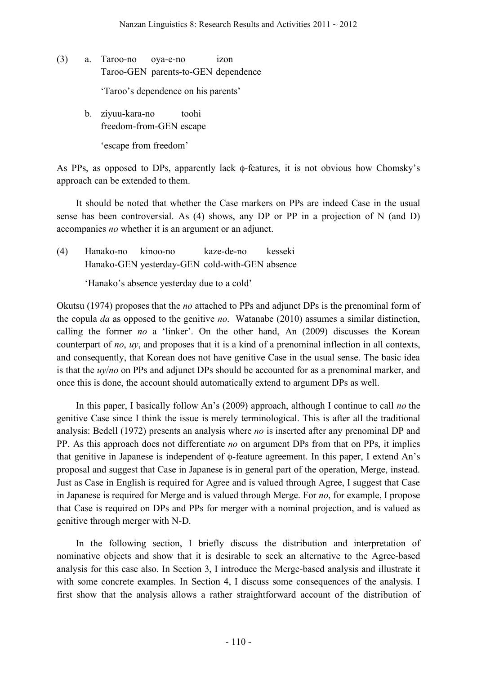(3) a. Taroo-no oya-e-no izon Taroo-GEN parents-to-GEN dependence

'Taroo's dependence on his parents'

b. ziyuu-kara-no toohi freedom-from-GEN escape

'escape from freedom'

As PPs, as opposed to DPs, apparently lack φ-features, it is not obvious how Chomsky's approach can be extended to them.

It should be noted that whether the Case markers on PPs are indeed Case in the usual sense has been controversial. As (4) shows, any DP or PP in a projection of N (and D) accompanies *no* whether it is an argument or an adjunct.

(4) Hanako-no kinoo-no kaze-de-no kesseki Hanako-GEN yesterday-GEN cold-with-GEN absence

'Hanako's absence yesterday due to a cold'

Okutsu (1974) proposes that the *no* attached to PPs and adjunct DPs is the prenominal form of the copula *da* as opposed to the genitive *no*. Watanabe (2010) assumes a similar distinction, calling the former *no* a 'linker'. On the other hand, An (2009) discusses the Korean counterpart of *no*, *uy*, and proposes that it is a kind of a prenominal inflection in all contexts, and consequently, that Korean does not have genitive Case in the usual sense. The basic idea is that the *uy*/*no* on PPs and adjunct DPs should be accounted for as a prenominal marker, and once this is done, the account should automatically extend to argument DPs as well.

In this paper, I basically follow An's (2009) approach, although I continue to call *no* the genitive Case since I think the issue is merely terminological. This is after all the traditional analysis: Bedell (1972) presents an analysis where *no* is inserted after any prenominal DP and PP. As this approach does not differentiate *no* on argument DPs from that on PPs, it implies that genitive in Japanese is independent of φ-feature agreement. In this paper, I extend An's proposal and suggest that Case in Japanese is in general part of the operation, Merge, instead. Just as Case in English is required for Agree and is valued through Agree, I suggest that Case in Japanese is required for Merge and is valued through Merge. For *no*, for example, I propose that Case is required on DPs and PPs for merger with a nominal projection, and is valued as genitive through merger with N-D.

In the following section, I briefly discuss the distribution and interpretation of nominative objects and show that it is desirable to seek an alternative to the Agree-based analysis for this case also. In Section 3, I introduce the Merge-based analysis and illustrate it with some concrete examples. In Section 4, I discuss some consequences of the analysis. I first show that the analysis allows a rather straightforward account of the distribution of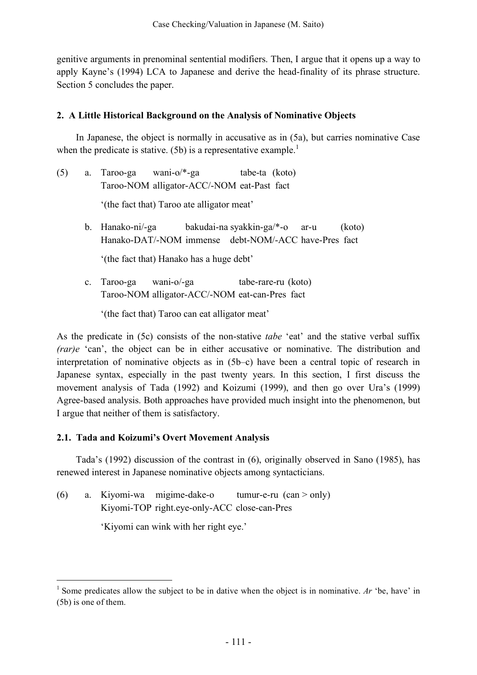genitive arguments in prenominal sentential modifiers. Then, I argue that it opens up a way to apply Kayne's (1994) LCA to Japanese and derive the head-finality of its phrase structure. Section 5 concludes the paper.

## **2. A Little Historical Background on the Analysis of Nominative Objects**

In Japanese, the object is normally in accusative as in (5a), but carries nominative Case when the predicate is stative. (5b) is a representative example.<sup>1</sup>

- (5) a. Taroo-ga wani-o/\*-ga tabe-ta (koto) Taroo-NOM alligator-ACC/-NOM eat-Past fact '(the fact that) Taroo ate alligator meat'
	- b. Hanako-ni/-ga bakudai-na syakkin-ga/\*-o ar-u (koto) Hanako-DAT/-NOM immense debt-NOM/-ACC have-Pres fact

'(the fact that) Hanako has a huge debt'

c. Taroo-ga wani-o/-ga tabe-rare-ru (koto) Taroo-NOM alligator-ACC/-NOM eat-can-Pres fact

'(the fact that) Taroo can eat alligator meat'

As the predicate in (5c) consists of the non-stative *tabe* 'eat' and the stative verbal suffix *(rar)e* 'can', the object can be in either accusative or nominative. The distribution and interpretation of nominative objects as in (5b–c) have been a central topic of research in Japanese syntax, especially in the past twenty years. In this section, I first discuss the movement analysis of Tada (1992) and Koizumi (1999), and then go over Ura's (1999) Agree-based analysis. Both approaches have provided much insight into the phenomenon, but I argue that neither of them is satisfactory.

## **2.1. Tada and Koizumi's Overt Movement Analysis**

Tada's (1992) discussion of the contrast in (6), originally observed in Sano (1985), has renewed interest in Japanese nominative objects among syntacticians.

(6) a. Kiyomi-wa migime-dake-o tumur-e-ru (can > only) Kiyomi-TOP right.eye-only-ACC close-can-Pres

'Kiyomi can wink with her right eye.'

<sup>&</sup>lt;sup>1</sup> Some predicates allow the subject to be in dative when the object is in nominative. *Ar* 'be, have' in (5b) is one of them.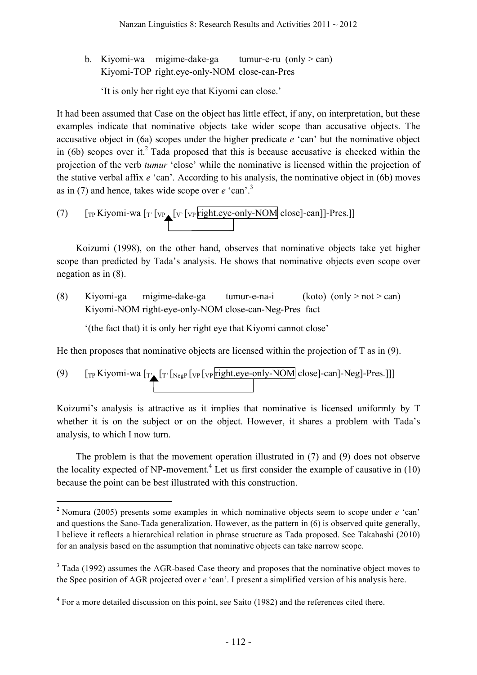b. Kiyomi-wa migime-dake-ga tumur-e-ru (only  $>$  can) Kiyomi-TOP right.eye-only-NOM close-can-Pres

'It is only her right eye that Kiyomi can close.'

It had been assumed that Case on the object has little effect, if any, on interpretation, but these examples indicate that nominative objects take wider scope than accusative objects. The accusative object in (6a) scopes under the higher predicate *e* 'can' but the nominative object in (6b) scopes over it.<sup>2</sup> Tada proposed that this is because accusative is checked within the projection of the verb *tumur* 'close' while the nominative is licensed within the projection of the stative verbal affix *e* 'can'. According to his analysis, the nominative object in (6b) moves as in (7) and hence, takes wide scope over *e* 'can'. 3

(7) 
$$
\left[\text{Tr} \text{Kiyomi-wa } \left[\text{Tr} \left[\text{vp}_{\text{rep}} \left[\text{vp}_{\text{right}} \left[\text{eye-only-NOM}\right] \text{close}\right] - \text{can} \right]\right] - \text{Pres.}
$$

Koizumi (1998), on the other hand, observes that nominative objects take yet higher scope than predicted by Tada's analysis. He shows that nominative objects even scope over negation as in (8).

(8) Kiyomi-ga migime-dake-ga tumur-e-na-i (koto) (only > not > can) Kiyomi-NOM right-eye-only-NOM close-can-Neg-Pres fact

'(the fact that) it is only her right eye that Kiyomi cannot close'

He then proposes that nominative objects are licensed within the projection of T as in (9).

(9) 
$$
\left[\text{Tr} \text{Kiyomi-wa } \left[\text{Tr} \left[\text{NegP} \left[\text{vp} \left[\text{vp} \left[\text{right.\text{eye-only-NOM}} \right] \text{close}\right] - \text{Can} \right] - \text{Neg}\right] - \text{Tr} \text{S.} \right]\right]
$$

Koizumi's analysis is attractive as it implies that nominative is licensed uniformly by T whether it is on the subject or on the object. However, it shares a problem with Tada's analysis, to which I now turn.

The problem is that the movement operation illustrated in (7) and (9) does not observe the locality expected of NP-movement.<sup>4</sup> Let us first consider the example of causative in  $(10)$ because the point can be best illustrated with this construction.

 <sup>2</sup> Nomura (2005) presents some examples in which nominative objects seem to scope under *<sup>e</sup>* 'can' and questions the Sano-Tada generalization. However, as the pattern in (6) is observed quite generally, I believe it reflects a hierarchical relation in phrase structure as Tada proposed. See Takahashi (2010) for an analysis based on the assumption that nominative objects can take narrow scope.

 $3$  Tada (1992) assumes the AGR-based Case theory and proposes that the nominative object moves to the Spec position of AGR projected over *e* 'can'. I present a simplified version of his analysis here.

<sup>&</sup>lt;sup>4</sup> For a more detailed discussion on this point, see Saito (1982) and the references cited there.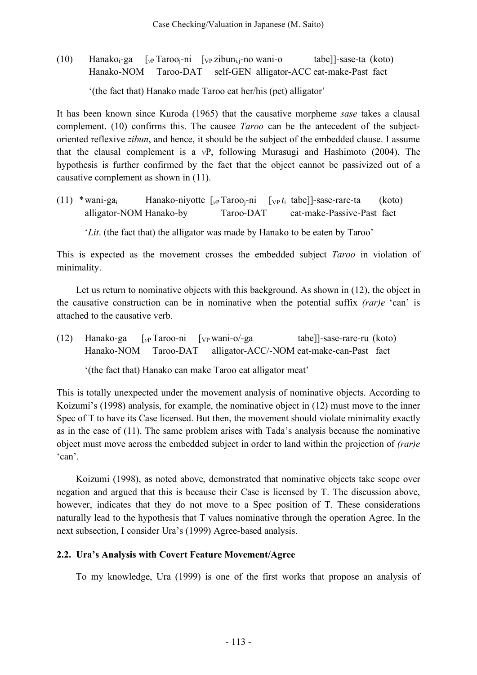(10) Hanakoi-ga [*v*<sup>P</sup> Tarooj-ni [VP zibuni,j-no wani-o tabe]]-sase-ta (koto) Hanako-NOM Taroo-DAT self-GEN alligator-ACC eat-make-Past fact

'(the fact that) Hanako made Taroo eat her/his (pet) alligator'

It has been known since Kuroda (1965) that the causative morpheme *sase* takes a clausal complement. (10) confirms this. The causee *Taroo* can be the antecedent of the subjectoriented reflexive *zibun*, and hence, it should be the subject of the embedded clause. I assume that the clausal complement is a *v*P, following Murasugi and Hashimoto (2004). The hypothesis is further confirmed by the fact that the object cannot be passivized out of a causative complement as shown in (11).

(11) \*wani-gai Hanako-niyotte [*v*<sup>P</sup> Tarooj-ni [VP *t*<sup>i</sup> tabe]]-sase-rare-ta (koto) alligator-NOM Hanako-by Taroo-DAT eat-make-Passive-Past fact

'*Lit*. (the fact that) the alligator was made by Hanako to be eaten by Taroo'

This is expected as the movement crosses the embedded subject *Taroo* in violation of minimality.

Let us return to nominative objects with this background. As shown in  $(12)$ , the object in the causative construction can be in nominative when the potential suffix *(rar)e* 'can' is attached to the causative verb.

(12) Hanako-ga [*v*<sup>P</sup> Taroo-ni [VP wani-o/-ga tabe]]-sase-rare-ru (koto) Hanako-NOM Taroo-DAT alligator-ACC/-NOM eat-make-can-Past fact

'(the fact that) Hanako can make Taroo eat alligator meat'

This is totally unexpected under the movement analysis of nominative objects. According to Koizumi's (1998) analysis, for example, the nominative object in (12) must move to the inner Spec of T to have its Case licensed. But then, the movement should violate minimality exactly as in the case of (11). The same problem arises with Tada's analysis because the nominative object must move across the embedded subject in order to land within the projection of *(rar)e* 'can'.

Koizumi (1998), as noted above, demonstrated that nominative objects take scope over negation and argued that this is because their Case is licensed by T. The discussion above, however, indicates that they do not move to a Spec position of T. These considerations naturally lead to the hypothesis that T values nominative through the operation Agree. In the next subsection, I consider Ura's (1999) Agree-based analysis.

# **2.2. Ura's Analysis with Covert Feature Movement/Agree**

To my knowledge, Ura (1999) is one of the first works that propose an analysis of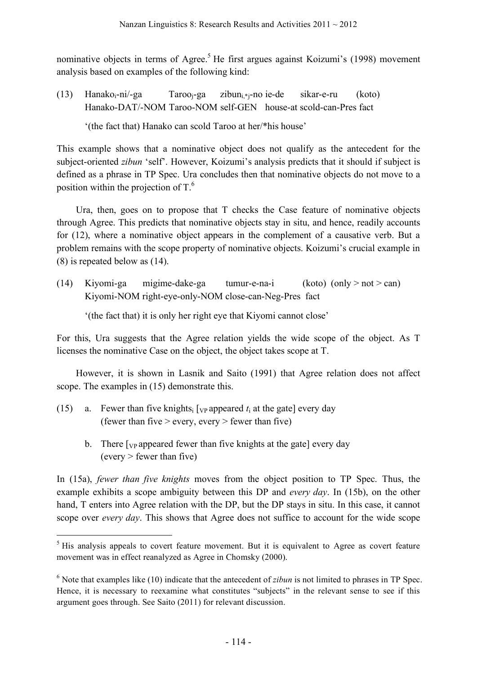nominative objects in terms of Agree.<sup>5</sup> He first argues against Koizumi's (1998) movement analysis based on examples of the following kind:

(13) Hanako<sub>i</sub>-ni/-ga Taroo<sub>i</sub>-ga zibun<sub>i\*i</sub>-no ie-de sikar-e-ru (koto) Hanako-DAT/-NOM Taroo-NOM self-GEN house-at scold-can-Pres fact

'(the fact that) Hanako can scold Taroo at her/\*his house'

This example shows that a nominative object does not qualify as the antecedent for the subject-oriented *zibun* 'self'. However, Koizumi's analysis predicts that it should if subject is defined as a phrase in TP Spec. Ura concludes then that nominative objects do not move to a position within the projection of  $T<sup>6</sup>$ 

Ura, then, goes on to propose that T checks the Case feature of nominative objects through Agree. This predicts that nominative objects stay in situ, and hence, readily accounts for (12), where a nominative object appears in the complement of a causative verb. But a problem remains with the scope property of nominative objects. Koizumi's crucial example in (8) is repeated below as (14).

(14) Kiyomi-ga migime-dake-ga tumur-e-na-i (koto) (only > not > can) Kiyomi-NOM right-eye-only-NOM close-can-Neg-Pres fact

'(the fact that) it is only her right eye that Kiyomi cannot close'

For this, Ura suggests that the Agree relation yields the wide scope of the object. As T licenses the nominative Case on the object, the object takes scope at T.

However, it is shown in Lasnik and Saito (1991) that Agree relation does not affect scope. The examples in (15) demonstrate this.

- (15) a. Fewer than five knights<sub>i</sub> [ $_{VP}$  appeared  $t_i$  at the gate] every day (fewer than five  $>$  every, every  $>$  fewer than five)
	- b. There  $\lceil v \rceil$  appeared fewer than five knights at the gate  $\lceil v \rceil$  every day  $(every > fewer than five)$

In (15a), *fewer than five knights* moves from the object position to TP Spec. Thus, the example exhibits a scope ambiguity between this DP and *every day*. In (15b), on the other hand, T enters into Agree relation with the DP, but the DP stays in situ. In this case, it cannot scope over *every day*. This shows that Agree does not suffice to account for the wide scope

<sup>&</sup>lt;sup>5</sup> His analysis appeals to covert feature movement. But it is equivalent to Agree as covert feature movement was in effect reanalyzed as Agree in Chomsky (2000).

<sup>6</sup> Note that examples like (10) indicate that the antecedent of *zibun* is not limited to phrases in TP Spec. Hence, it is necessary to reexamine what constitutes "subjects" in the relevant sense to see if this argument goes through. See Saito (2011) for relevant discussion.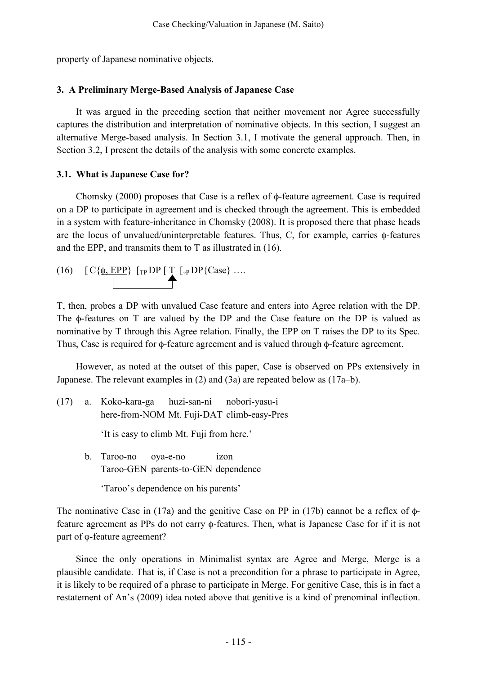property of Japanese nominative objects.

#### **3. A Preliminary Merge-Based Analysis of Japanese Case**

It was argued in the preceding section that neither movement nor Agree successfully captures the distribution and interpretation of nominative objects. In this section, I suggest an alternative Merge-based analysis. In Section 3.1, I motivate the general approach. Then, in Section 3.2, I present the details of the analysis with some concrete examples.

### **3.1. What is Japanese Case for?**

Chomsky (2000) proposes that Case is a reflex of φ-feature agreement. Case is required on a DP to participate in agreement and is checked through the agreement. This is embedded in a system with feature-inheritance in Chomsky (2008). It is proposed there that phase heads are the locus of unvalued/uninterpretable features. Thus, C, for example, carries φ-features and the EPP, and transmits them to T as illustrated in (16).

(16) 
$$
[C\{\underline{\phi}, \underline{EPP}\}\ [TPDP[T_{\nu}PDP{Case}\} ...]
$$

T, then, probes a DP with unvalued Case feature and enters into Agree relation with the DP. The φ-features on T are valued by the DP and the Case feature on the DP is valued as nominative by T through this Agree relation. Finally, the EPP on T raises the DP to its Spec. Thus, Case is required for φ-feature agreement and is valued through φ-feature agreement.

However, as noted at the outset of this paper, Case is observed on PPs extensively in Japanese. The relevant examples in (2) and (3a) are repeated below as (17a–b).

(17) a. Koko-kara-ga huzi-san-ni nobori-yasu-i here-from-NOM Mt. Fuji-DAT climb-easy-Pres

'It is easy to climb Mt. Fuji from here.'

b. Taroo-no oya-e-no izon Taroo-GEN parents-to-GEN dependence

'Taroo's dependence on his parents'

The nominative Case in (17a) and the genitive Case on PP in (17b) cannot be a reflex of φfeature agreement as PPs do not carry φ-features. Then, what is Japanese Case for if it is not part of φ-feature agreement?

Since the only operations in Minimalist syntax are Agree and Merge, Merge is a plausible candidate. That is, if Case is not a precondition for a phrase to participate in Agree, it is likely to be required of a phrase to participate in Merge. For genitive Case, this is in fact a restatement of An's (2009) idea noted above that genitive is a kind of prenominal inflection.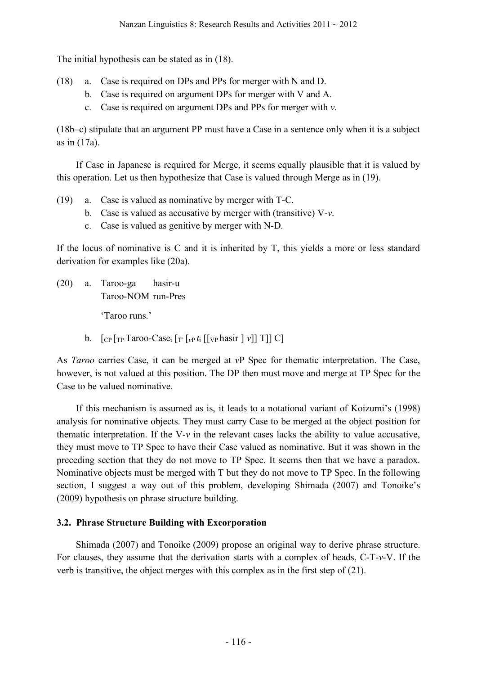The initial hypothesis can be stated as in (18).

- (18) a. Case is required on DPs and PPs for merger with N and D.
	- b. Case is required on argument DPs for merger with V and A.
	- c. Case is required on argument DPs and PPs for merger with *v*.

(18b–c) stipulate that an argument PP must have a Case in a sentence only when it is a subject as in (17a).

If Case in Japanese is required for Merge, it seems equally plausible that it is valued by this operation. Let us then hypothesize that Case is valued through Merge as in (19).

- (19) a. Case is valued as nominative by merger with T-C.
	- b. Case is valued as accusative by merger with (transitive) V-*v*.
	- c. Case is valued as genitive by merger with N-D.

If the locus of nominative is C and it is inherited by T, this yields a more or less standard derivation for examples like (20a).

(20) a. Taroo-ga hasir-u Taroo-NOM run-Pres

'Taroo runs.'

b.  $\left[ C_{\rm P} \left[ T_{\rm P} \right]$  Taroo-Case<sub>i</sub>  $\left[ T_{\rm P} \left[ V_{\rm P} t_{\rm i} \right] \left[ V_{\rm P} \right]$  hasir  $\left[ V_{\rm P} \right]$  T] C]

As *Taroo* carries Case, it can be merged at *v*P Spec for thematic interpretation. The Case, however, is not valued at this position. The DP then must move and merge at TP Spec for the Case to be valued nominative.

If this mechanism is assumed as is, it leads to a notational variant of Koizumi's (1998) analysis for nominative objects. They must carry Case to be merged at the object position for thematic interpretation. If the V-*v* in the relevant cases lacks the ability to value accusative, they must move to TP Spec to have their Case valued as nominative. But it was shown in the preceding section that they do not move to TP Spec. It seems then that we have a paradox. Nominative objects must be merged with T but they do not move to TP Spec. In the following section, I suggest a way out of this problem, developing Shimada (2007) and Tonoike's (2009) hypothesis on phrase structure building.

### **3.2. Phrase Structure Building with Excorporation**

Shimada (2007) and Tonoike (2009) propose an original way to derive phrase structure. For clauses, they assume that the derivation starts with a complex of heads, C-T-*v*-V. If the verb is transitive, the object merges with this complex as in the first step of (21).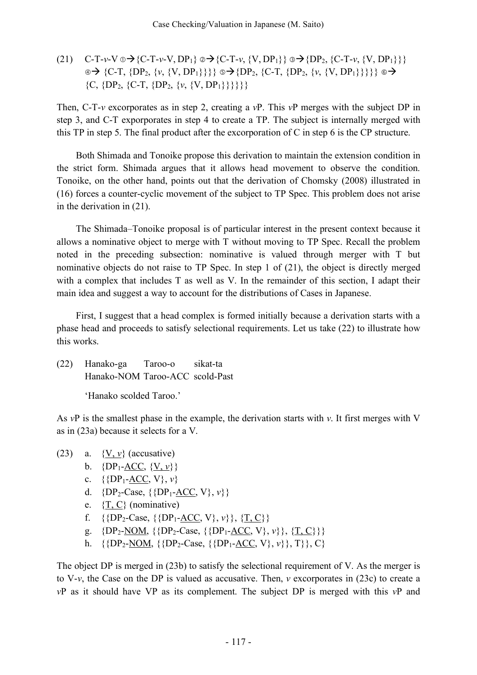(21)  $C-T-\nu-V \oplus \rightarrow \{C-T-\nu-V, DP_1\} \oplus \rightarrow \{C-T-\nu, \{V, DP_1\}\} \oplus \rightarrow \{DP_2, \{C-T-\nu, \{V, DP_1\}\}\}$  $\circ \rightarrow \{C-T, \{DP_2, \{v, \{V, DP_1\}\}\}\}\circ \rightarrow \{DP_2, \{C-T, \{DP_2, \{v, \{V, DP_1\}\}\}\}\}\circ \rightarrow$  ${C, {DP_2, {C-T, {DP_2, {V, {VP_1}}}}}\}$ 

Then, C-T-*v* excorporates as in step 2, creating a *v*P. This *v*P merges with the subject DP in step 3, and C-T exporporates in step 4 to create a TP. The subject is internally merged with this TP in step 5. The final product after the excorporation of C in step 6 is the CP structure.

Both Shimada and Tonoike propose this derivation to maintain the extension condition in the strict form. Shimada argues that it allows head movement to observe the condition. Tonoike, on the other hand, points out that the derivation of Chomsky (2008) illustrated in (16) forces a counter-cyclic movement of the subject to TP Spec. This problem does not arise in the derivation in (21).

The Shimada–Tonoike proposal is of particular interest in the present context because it allows a nominative object to merge with T without moving to TP Spec. Recall the problem noted in the preceding subsection: nominative is valued through merger with T but nominative objects do not raise to TP Spec. In step 1 of (21), the object is directly merged with a complex that includes T as well as V. In the remainder of this section, I adapt their main idea and suggest a way to account for the distributions of Cases in Japanese.

First, I suggest that a head complex is formed initially because a derivation starts with a phase head and proceeds to satisfy selectional requirements. Let us take (22) to illustrate how this works.

(22) Hanako-ga Taroo-o sikat-ta Hanako-NOM Taroo-ACC scold-Past

'Hanako scolded Taroo.'

As *v*P is the smallest phase in the example, the derivation starts with *v*. It first merges with V as in (23a) because it selects for a V.

- (23) a.  $\{V, v\}$  (accusative)
	- b.  ${DP_1$ -ACC,  ${V, v}$
	- c.  $\{ {DP_1 ACC, V}, v \}$
	- d.  ${DP_2\text{-}Case, \{\{DP_1\text{-}ACC, V\}, v\}\}$
	- e.  $\{T, C\}$  (nominative)
	- f. {{DP<sub>2</sub>-Case, {{DP<sub>1</sub>-<u>ACC</u>, V},  $v$ }}, {<u>T, C</u>}}
	- g.  ${DP_2-NOM, \{ \{DP_2-Case, \{ \{DP_1-ACC, V\}, v\} \}, \{T, C\} \}}$
	- h. { $\{DP_2\text{-}NOM, \{\{DP_2\text{-}Case, \{\{DP_1\text{-}ACC, V\}, v\}\}, T\}\}, C\}$

The object DP is merged in (23b) to satisfy the selectional requirement of V. As the merger is to V-*v*, the Case on the DP is valued as accusative. Then, *v* excorporates in (23c) to create a *v*P as it should have VP as its complement. The subject DP is merged with this *v*P and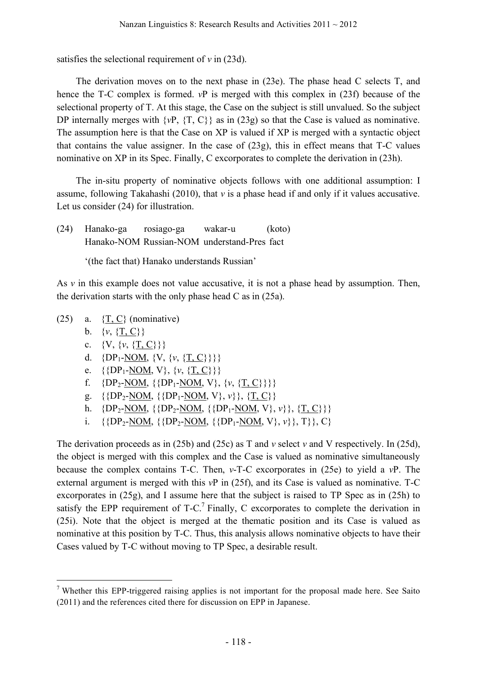satisfies the selectional requirement of  $v$  in (23d).

The derivation moves on to the next phase in (23e). The phase head C selects T, and hence the T-C complex is formed. *v*P is merged with this complex in (23f) because of the selectional property of T. At this stage, the Case on the subject is still unvalued. So the subject DP internally merges with  $\{vP, \{T, C\}\}\$ as in (23g) so that the Case is valued as nominative. The assumption here is that the Case on XP is valued if XP is merged with a syntactic object that contains the value assigner. In the case of (23g), this in effect means that T-C values nominative on XP in its Spec. Finally, C excorporates to complete the derivation in (23h).

The in-situ property of nominative objects follows with one additional assumption: I assume, following Takahashi (2010), that *v* is a phase head if and only if it values accusative. Let us consider (24) for illustration.

(24) Hanako-ga rosiago-ga wakar-u (koto) Hanako-NOM Russian-NOM understand-Pres fact

'(the fact that) Hanako understands Russian'

As *v* in this example does not value accusative, it is not a phase head by assumption. Then, the derivation starts with the only phase head C as in (25a).

- (25) a.  $\{T, C\}$  (nominative)
	- b.  $\{v, \{T, C\}\}\$
	- c.  $\{V, \{v, \{T, C\}\}\}\$
	- d.  $\{DP_1\text{-}NOM, \{V, \{v, \{T, C\}\}\}\}\$
	- e.  $\{ {DP_1-NOM, V}, \{v, \{T, C\}} \}$
	- f. {DP<sub>2</sub>-NOM, {{DP<sub>1</sub>-NOM, V}, {*v*, {<u>T, C}}</u>}}
	- g. { ${DP_2-NOM, {P_1-NOM, V}, v}$ }, {T, C}}
	- h.  ${DP_2-NOM, {DP_2-NOM, {DP_1-NOM, V}, v}, {T, C}}$
	- i. {{DP<sub>2</sub>-NOM, {{DP<sub>2</sub>-NOM, {{DP<sub>1</sub>-NOM,  $V$ },  $v$ }}, T}}, C}

The derivation proceeds as in (25b) and (25c) as T and *v* select *v* and V respectively. In (25d), the object is merged with this complex and the Case is valued as nominative simultaneously because the complex contains T-C. Then, *v*-T-C excorporates in (25e) to yield a *v*P. The external argument is merged with this *v*P in (25f), and its Case is valued as nominative. T-C excorporates in (25g), and I assume here that the subject is raised to TP Spec as in (25h) to satisfy the EPP requirement of  $T-C<sup>7</sup>$  Finally, C excorporates to complete the derivation in (25i). Note that the object is merged at the thematic position and its Case is valued as nominative at this position by T-C. Thus, this analysis allows nominative objects to have their Cases valued by T-C without moving to TP Spec, a desirable result.

<sup>&</sup>lt;sup>7</sup> Whether this EPP-triggered raising applies is not important for the proposal made here. See Saito (2011) and the references cited there for discussion on EPP in Japanese.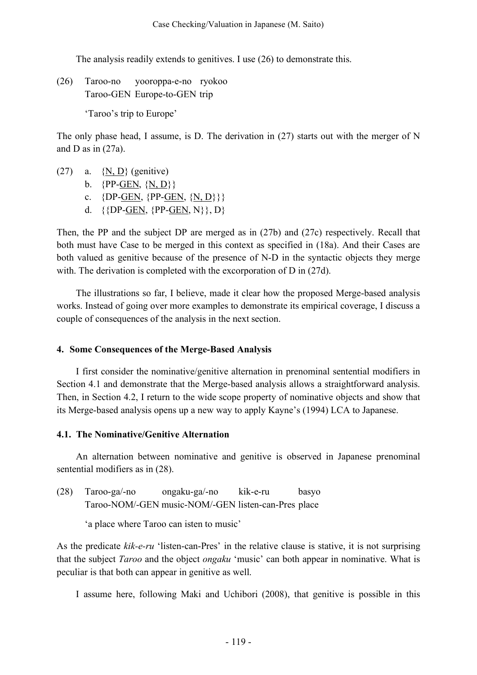The analysis readily extends to genitives. I use (26) to demonstrate this.

(26) Taroo-no yooroppa-e-no ryokoo Taroo-GEN Europe-to-GEN trip

'Taroo's trip to Europe'

The only phase head, I assume, is D. The derivation in (27) starts out with the merger of N and D as in  $(27a)$ .

- $(27)$  a.  $\{N, D\}$  (genitive)
	- b.  $\{PP\text{-}GEN, \{N, D\}\}\$
	- c.  $\{DP\text{-}GEN, \{PP\text{-}GEN, \{N, D\}\}\}$
	- d.  $\{ {DP-GEN, {PP-GEN, N}} \}, D$

Then, the PP and the subject DP are merged as in (27b) and (27c) respectively. Recall that both must have Case to be merged in this context as specified in (18a). And their Cases are both valued as genitive because of the presence of N-D in the syntactic objects they merge with. The derivation is completed with the excorporation of D in (27d).

The illustrations so far, I believe, made it clear how the proposed Merge-based analysis works. Instead of going over more examples to demonstrate its empirical coverage, I discuss a couple of consequences of the analysis in the next section.

### **4. Some Consequences of the Merge-Based Analysis**

I first consider the nominative/genitive alternation in prenominal sentential modifiers in Section 4.1 and demonstrate that the Merge-based analysis allows a straightforward analysis. Then, in Section 4.2, I return to the wide scope property of nominative objects and show that its Merge-based analysis opens up a new way to apply Kayne's (1994) LCA to Japanese.

### **4.1. The Nominative/Genitive Alternation**

An alternation between nominative and genitive is observed in Japanese prenominal sentential modifiers as in (28).

(28) Taroo-ga/-no ongaku-ga/-no kik-e-ru basyo Taroo-NOM/-GEN music-NOM/-GEN listen-can-Pres place

'a place where Taroo can isten to music'

As the predicate *kik-e-ru* 'listen-can-Pres' in the relative clause is stative, it is not surprising that the subject *Taroo* and the object *ongaku* 'music' can both appear in nominative. What is peculiar is that both can appear in genitive as well.

I assume here, following Maki and Uchibori (2008), that genitive is possible in this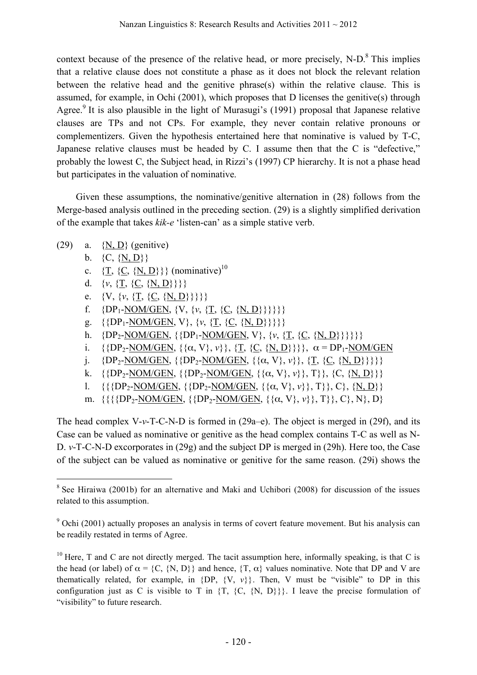context because of the presence of the relative head, or more precisely, N-D.<sup>8</sup> This implies that a relative clause does not constitute a phase as it does not block the relevant relation between the relative head and the genitive phrase(s) within the relative clause. This is assumed, for example, in Ochi (2001), which proposes that D licenses the genitive(s) through Agree.<sup>9</sup> It is also plausible in the light of Murasugi's (1991) proposal that Japanese relative clauses are TPs and not CPs. For example, they never contain relative pronouns or complementizers. Given the hypothesis entertained here that nominative is valued by T-C, Japanese relative clauses must be headed by C. I assume then that the C is "defective," probably the lowest C, the Subject head, in Rizzi's (1997) CP hierarchy. It is not a phase head but participates in the valuation of nominative.

Given these assumptions, the nominative/genitive alternation in (28) follows from the Merge-based analysis outlined in the preceding section. (29) is a slightly simplified derivation of the example that takes *kik-e* 'listen-can' as a simple stative verb.

- (29) a.  $\{N, D\}$  (genitive)
	- b.  $\{C, \{N, D\}\}\$
	- c.  $\{\underline{T}, \{\underline{C}, \{\underline{N}, \underline{D}\}\}\}\$  (nominative)<sup>10</sup>
	- d.  $\{v, \{T, \{C, \{N, D\}\}\}\}\$
	- e.  $\{V, \{v, \{T, \{C, \{N, D\}\}\}\}\}$
	- f.  ${DP_1\text{-}NOM/GEN, \{V, \{v, \{\underline{T}, \{\underline{C}, \{\underline{N}, \underline{D}\}\}\}\}}}$
	- g.  $\{ {DP_1-NOM/GEN, V}, \{v, \{T, \{C, \{N, D\}\}\} } \}$
	- h. {DP<sub>2</sub>-NOM/GEN, {{DP<sub>1</sub>-NOM/GEN, V}, {*v*, {<u>T</u>, {*C*, {*N*, *D*}}}}}
	- i. { ${DP_2-NOM/GEN}$ ,  ${ \alpha, V}$ ,  $\nu}$ },  ${T, {C, {N, D}} }$ }},  $\alpha = DP_1-NOM/GEN$
	- j.  $\{DP_2\text{-NOM/GEN}, \{\{DP_2\text{-NOM/GEN}, \{\{\alpha, V\}, v\}\}, \{\underline{T}, \{\underline{C}, \{\underline{N}, D\}\}\}\}\}\$
	- k.  $\{ {DP_2-NOM/GEN, { \{DP_2-NOM/GEN, { \{ \alpha, V\}, v \} \}, T \} },$  {C, {N, D}}}
	- l. {{ $\{PP_2\text{-NOM/GEN}, \{\{DP_2\text{-NOM/GEN}, \{\{\alpha, V\}, v\}\}, T\}, C\}, \{N, D\}\}$
	- m. {{{{DP<sub>2</sub>-NOM/GEN, {{DP<sub>2</sub>-NOM/GEN, {{α, V}, *v*}}, T}}, C}, N}, D}

The head complex V-*v*-T-C-N-D is formed in (29a–e). The object is merged in (29f), and its Case can be valued as nominative or genitive as the head complex contains T-C as well as N-D. *v*-T-C-N-D excorporates in (29g) and the subject DP is merged in (29h). Here too, the Case of the subject can be valued as nominative or genitive for the same reason. (29i) shows the

<sup>&</sup>lt;sup>8</sup> See Hiraiwa (2001b) for an alternative and Maki and Uchibori (2008) for discussion of the issues related to this assumption.

 $9$  Ochi (2001) actually proposes an analysis in terms of covert feature movement. But his analysis can be readily restated in terms of Agree.

 $10$  Here, T and C are not directly merged. The tacit assumption here, informally speaking, is that C is the head (or label) of  $\alpha = \{C, \{N, D\}\}\$  and hence,  $\{T, \alpha\}$  values nominative. Note that DP and V are thematically related, for example, in  $\{DP, \{V, v\}\}\$ . Then, V must be "visible" to DP in this configuration just as C is visible to T in  $\{T, \{C, \{N, D\}\}\}\$ . I leave the precise formulation of "visibility" to future research.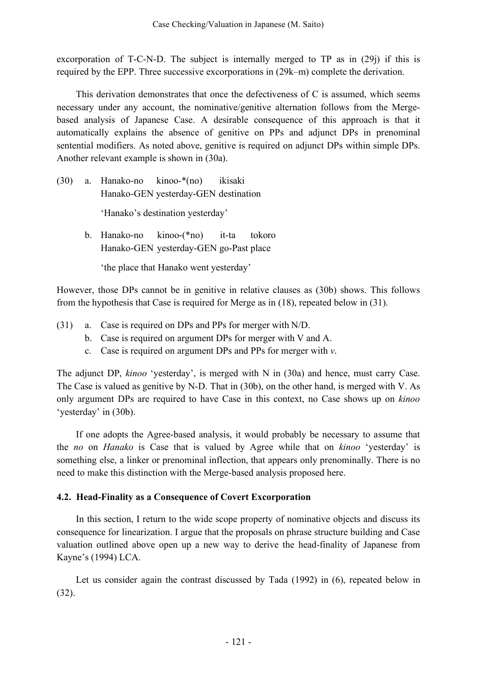excorporation of T-C-N-D. The subject is internally merged to TP as in (29) if this is required by the EPP. Three successive excorporations in (29k–m) complete the derivation.

This derivation demonstrates that once the defectiveness of  $C$  is assumed, which seems necessary under any account, the nominative/genitive alternation follows from the Mergebased analysis of Japanese Case. A desirable consequence of this approach is that it automatically explains the absence of genitive on PPs and adjunct DPs in prenominal sentential modifiers. As noted above, genitive is required on adjunct DPs within simple DPs. Another relevant example is shown in (30a).

- (30) a. Hanako-no kinoo-\*(no) ikisaki Hanako-GEN yesterday-GEN destination 'Hanako's destination yesterday'
	- b. Hanako-no kinoo-(\*no) it-ta tokoro Hanako-GEN yesterday-GEN go-Past place

'the place that Hanako went yesterday'

However, those DPs cannot be in genitive in relative clauses as (30b) shows. This follows from the hypothesis that Case is required for Merge as in (18), repeated below in (31).

- (31) a. Case is required on DPs and PPs for merger with N/D.
	- b. Case is required on argument DPs for merger with V and A.
	- c. Case is required on argument DPs and PPs for merger with *v*.

The adjunct DP, *kinoo* 'yesterday', is merged with N in (30a) and hence, must carry Case. The Case is valued as genitive by N-D. That in (30b), on the other hand, is merged with V. As only argument DPs are required to have Case in this context, no Case shows up on *kinoo* 'yesterday' in (30b).

If one adopts the Agree-based analysis, it would probably be necessary to assume that the *no* on *Hanako* is Case that is valued by Agree while that on *kinoo* 'yesterday' is something else, a linker or prenominal inflection, that appears only prenominally. There is no need to make this distinction with the Merge-based analysis proposed here.

# **4.2. Head-Finality as a Consequence of Covert Excorporation**

In this section, I return to the wide scope property of nominative objects and discuss its consequence for linearization. I argue that the proposals on phrase structure building and Case valuation outlined above open up a new way to derive the head-finality of Japanese from Kayne's (1994) LCA.

Let us consider again the contrast discussed by Tada (1992) in (6), repeated below in (32).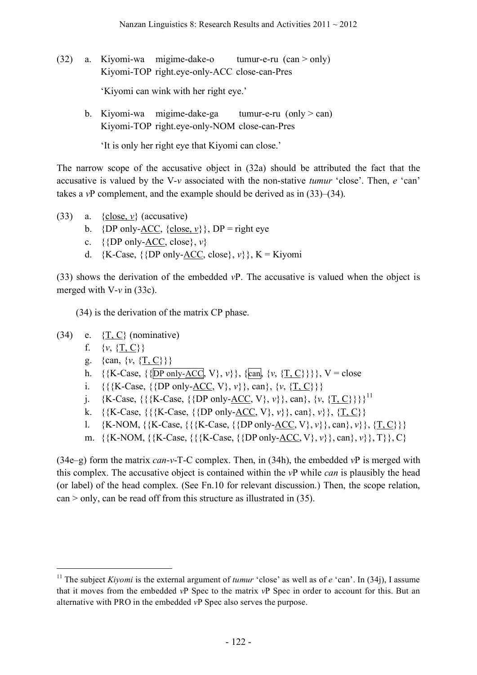- (32) a. Kiyomi-wa migime-dake-o tumur-e-ru (can > only) Kiyomi-TOP right.eye-only-ACC close-can-Pres 'Kiyomi can wink with her right eye.'
	- b. Kiyomi-wa migime-dake-ga tumur-e-ru (only  $>$  can) Kiyomi-TOP right.eye-only-NOM close-can-Pres

'It is only her right eye that Kiyomi can close.'

The narrow scope of the accusative object in (32a) should be attributed the fact that the accusative is valued by the V-*v* associated with the non-stative *tumur* 'close'. Then, *e* 'can' takes a *v*P complement, and the example should be derived as in (33)–(34).

- (33) a.  $\{close, v\}$  (accusative)
	- b. {DP only-<u>ACC</u>, {close,  $\nu$ }, DP = right eye
	- c.  $\{$ *DP* only-ACC, close*}*,  $v$ *}*
	- d. {K-Case, {{DP only-<u>ACC</u>, close},  $v$ }}, K = Kiyomi

(33) shows the derivation of the embedded *v*P. The accusative is valued when the object is merged with V-*v* in (33c).

(34) is the derivation of the matrix CP phase.

- $(34)$  e.  $\{T, C\}$  (nominative)
	- f. {*v*, {T, C}}
	- g. {can, {*v*, {<u>T, C</u>}}}
	- h. {{K-Case, {{DP only-ACC, V},  $v$ }}, {can, {*v*, {T, C}}}, V = close
	- i. {{{K-Case, {{DP only-<u>ACC</u>,  $V$ },  $v$ }}, can}, {*v*, {<u>T, C</u>}}}
	- j. {K-Case, {{{K-Case, {{DP only-ACC, V}, *v*}}, can}, {*v*, {<u>T, C}</u>}}<sup>11</sup>
	- k. {{K-Case, {{{K-Case, {{DP only-<u>ACC</u>,  $V$ },  $v$ }, can},  $v$ }, {T, C}}
	- 1.  ${K-NOM, \{K-Case, \{\{K-Case, \{\{DP \text{ only } ACC, V\}, v\}\}, can\}, v\}, \{T, C\}\}}$
	- m. {{K-NOM, {{K-Case, {{{K-Case, {{DP only-ACC, V}, *v*}}, can}, *v*}}, T}}, C}

(34e–g) form the matrix *can*-*v*-T-C complex. Then, in (34h), the embedded *v*P is merged with this complex. The accusative object is contained within the *v*P while *can* is plausibly the head (or label) of the head complex. (See Fn.10 for relevant discussion.) Then, the scope relation, can > only, can be read off from this structure as illustrated in (35).

<sup>&</sup>lt;sup>11</sup> The subject *Kiyomi* is the external argument of *tumur* 'close' as well as of *e* 'can'. In (34j), I assume that it moves from the embedded *v*P Spec to the matrix *v*P Spec in order to account for this. But an alternative with PRO in the embedded *v*P Spec also serves the purpose.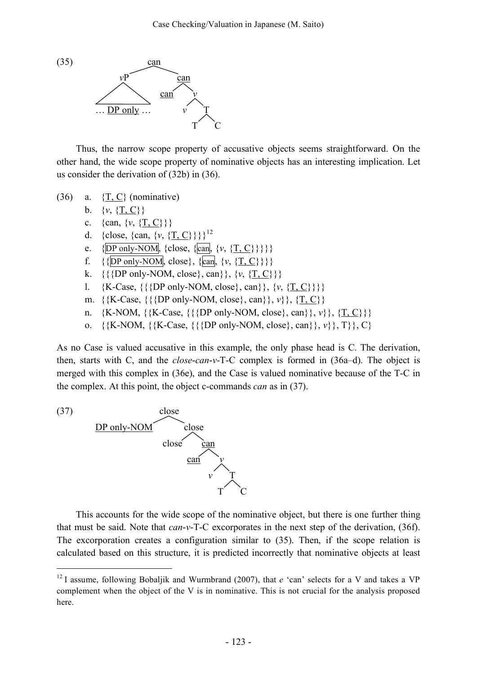

Thus, the narrow scope property of accusative objects seems straightforward. On the other hand, the wide scope property of nominative objects has an interesting implication. Let us consider the derivation of (32b) in (36).

- (36) a.  $\{T, C\}$  (nominative)
	- b.  $\{v, \{T, C\}\}\$
	- c. {can, {*v*, {<u>T, C}</u>}}
	- d. {close, {can, {*v*, {<u>T, C}</u>}}<sup>12</sup>
	- e.  $\{DP \text{ only-NOM}\}\$   $\{close, \{can\} \{v, \{T, C\}\}\}$
	- f. {{DP only-NOM, close}, {can, {*v*, {T, C}}}}
	- k. {{{DP only-NOM, close}, can}}, {*v*, {<u>T, C</u>}}}
	- l. {K-Case, {{{DP only-NOM, close}, can}}, {*v*, {T, C}}}}
	- m. {{K-Case, {{{DP only-NOM, close}, can}}, *v*}}, {T, C}}
	- n.  $\{K-NOM, \{\{K-Case, \{\{DP only-NOM, close\}, can\}\}, v\}, \{T, C\}\}\$
	- o.  $\{K-NOM, \{K-Case, \{\{\}DP\ only-NOM, close\}, can\}, v\}, T\}, C\}$

As no Case is valued accusative in this example, the only phase head is C. The derivation, then, starts with C, and the *close*-*can*-*v*-T-C complex is formed in (36a–d). The object is merged with this complex in (36e), and the Case is valued nominative because of the T-C in the complex. At this point, the object c-commands *can* as in (37).



This accounts for the wide scope of the nominative object, but there is one further thing that must be said. Note that *can*-*v*-T-C excorporates in the next step of the derivation, (36f). The excorporation creates a configuration similar to (35). Then, if the scope relation is calculated based on this structure, it is predicted incorrectly that nominative objects at least

<sup>&</sup>lt;sup>12</sup> I assume, following Bobaljik and Wurmbrand (2007), that *e* 'can' selects for a V and takes a VP complement when the object of the V is in nominative. This is not crucial for the analysis proposed here.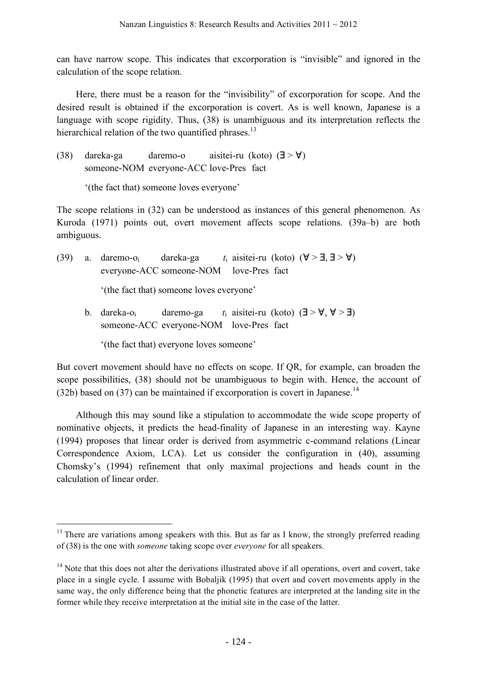can have narrow scope. This indicates that excorporation is "invisible" and ignored in the calculation of the scope relation.

Here, there must be a reason for the "invisibility" of excorporation for scope. And the desired result is obtained if the excorporation is covert. As is well known, Japanese is a language with scope rigidity. Thus, (38) is unambiguous and its interpretation reflects the hierarchical relation of the two quantified phrases.<sup>13</sup>

(38) dareka-ga daremo-o aisitei-ru (koto) (∃ > ∀) someone-NOM everyone-ACC love-Pres fact

'(the fact that) someone loves everyone'

The scope relations in (32) can be understood as instances of this general phenomenon. As Kuroda (1971) points out, overt movement affects scope relations. (39a–b) are both ambiguous.

- (39) a. daremo-o<sub>i</sub> dareka-ga *t*<sub>i</sub> aisitei-ru (koto) ( $\forall$  >  $\exists$ ,  $\exists$  >  $\forall$ ) everyone-ACC someone-NOM love-Pres fact '(the fact that) someone loves everyone' b. dareka-o<sub>i</sub> daremo-ga *t*<sub>i</sub> aisitei-ru (koto) ( $\exists$  >  $\forall$ ,  $\forall$  >  $\exists$ ) someone-ACC everyone-NOM love-Pres fact
	- '(the fact that) everyone loves someone'

But covert movement should have no effects on scope. If QR, for example, can broaden the scope possibilities, (38) should not be unambiguous to begin with. Hence, the account of  $(32b)$  based on  $(37)$  can be maintained if excorporation is covert in Japanese.<sup>14</sup>

Although this may sound like a stipulation to accommodate the wide scope property of nominative objects, it predicts the head-finality of Japanese in an interesting way. Kayne (1994) proposes that linear order is derived from asymmetric c-command relations (Linear Correspondence Axiom, LCA). Let us consider the configuration in (40), assuming Chomsky's (1994) refinement that only maximal projections and heads count in the calculation of linear order.

 $13$  There are variations among speakers with this. But as far as I know, the strongly preferred reading of (38) is the one with *someone* taking scope over *everyone* for all speakers.

<sup>&</sup>lt;sup>14</sup> Note that this does not alter the derivations illustrated above if all operations, overt and covert, take place in a single cycle. I assume with Bobaljik (1995) that overt and covert movements apply in the same way, the only difference being that the phonetic features are interpreted at the landing site in the former while they receive interpretation at the initial site in the case of the latter.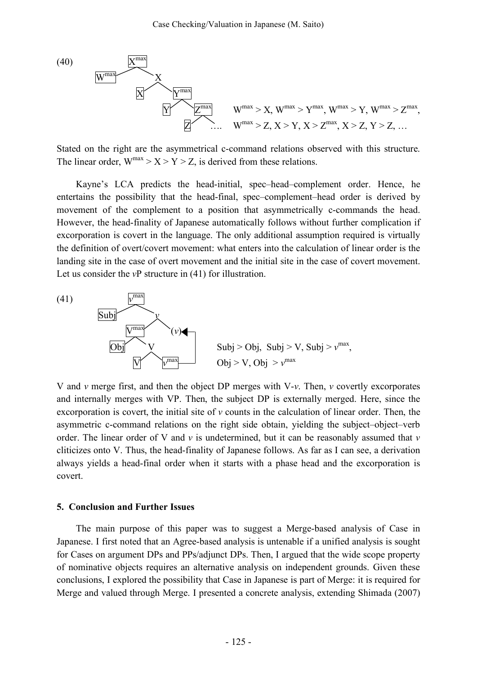

Stated on the right are the asymmetrical c-command relations observed with this structure. The linear order,  $W^{max} > X > Y > Z$ , is derived from these relations.

Kayne's LCA predicts the head-initial, spec–head–complement order. Hence, he entertains the possibility that the head-final, spec–complement–head order is derived by movement of the complement to a position that asymmetrically c-commands the head. However, the head-finality of Japanese automatically follows without further complication if excorporation is covert in the language. The only additional assumption required is virtually the definition of overt/covert movement: what enters into the calculation of linear order is the landing site in the case of overt movement and the initial site in the case of covert movement. Let us consider the *v*P structure in (41) for illustration.



V and *v* merge first, and then the object DP merges with V-*v*. Then, *v* covertly excorporates and internally merges with VP. Then, the subject DP is externally merged. Here, since the excorporation is covert, the initial site of *v* counts in the calculation of linear order. Then, the asymmetric c-command relations on the right side obtain, yielding the subject–object–verb order. The linear order of V and *v* is undetermined, but it can be reasonably assumed that *v* cliticizes onto V. Thus, the head-finality of Japanese follows. As far as I can see, a derivation always yields a head-final order when it starts with a phase head and the excorporation is covert.

#### **5. Conclusion and Further Issues**

The main purpose of this paper was to suggest a Merge-based analysis of Case in Japanese. I first noted that an Agree-based analysis is untenable if a unified analysis is sought for Cases on argument DPs and PPs/adjunct DPs. Then, I argued that the wide scope property of nominative objects requires an alternative analysis on independent grounds. Given these conclusions, I explored the possibility that Case in Japanese is part of Merge: it is required for Merge and valued through Merge. I presented a concrete analysis, extending Shimada (2007)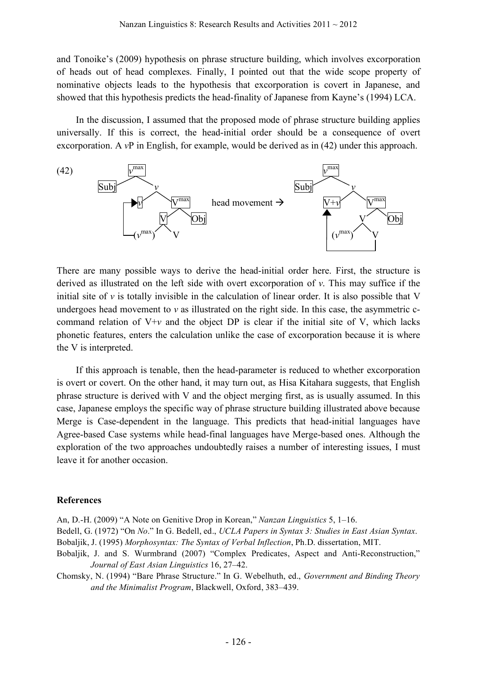and Tonoike's (2009) hypothesis on phrase structure building, which involves excorporation of heads out of head complexes. Finally, I pointed out that the wide scope property of nominative objects leads to the hypothesis that excorporation is covert in Japanese, and showed that this hypothesis predicts the head-finality of Japanese from Kayne's (1994) LCA.

In the discussion, I assumed that the proposed mode of phrase structure building applies universally. If this is correct, the head-initial order should be a consequence of overt excorporation. A *v*P in English, for example, would be derived as in (42) under this approach.



There are many possible ways to derive the head-initial order here. First, the structure is derived as illustrated on the left side with overt excorporation of *v*. This may suffice if the initial site of  $\nu$  is totally invisible in the calculation of linear order. It is also possible that V undergoes head movement to *v* as illustrated on the right side. In this case, the asymmetric ccommand relation of  $V+v$  and the object DP is clear if the initial site of V, which lacks phonetic features, enters the calculation unlike the case of excorporation because it is where the V is interpreted.

If this approach is tenable, then the head-parameter is reduced to whether excorporation is overt or covert. On the other hand, it may turn out, as Hisa Kitahara suggests, that English phrase structure is derived with V and the object merging first, as is usually assumed. In this case, Japanese employs the specific way of phrase structure building illustrated above because Merge is Case-dependent in the language. This predicts that head-initial languages have Agree-based Case systems while head-final languages have Merge-based ones. Although the exploration of the two approaches undoubtedly raises a number of interesting issues, I must leave it for another occasion.

#### **References**

An, D.-H. (2009) "A Note on Genitive Drop in Korean," *Nanzan Linguistics* 5, 1–16.

- Bedell, G. (1972) "On *No*." In G. Bedell, ed., *UCLA Papers in Syntax 3: Studies in East Asian Syntax*. Bobaljik, J. (1995) *Morphosyntax: The Syntax of Verbal Inflection*, Ph.D. dissertation, MIT.
- Bobaljik, J. and S. Wurmbrand (2007) "Complex Predicates, Aspect and Anti-Reconstruction," *Journal of East Asian Linguistics* 16, 27–42.
- Chomsky, N. (1994) "Bare Phrase Structure." In G. Webelhuth, ed., *Government and Binding Theory and the Minimalist Program*, Blackwell, Oxford, 383–439.